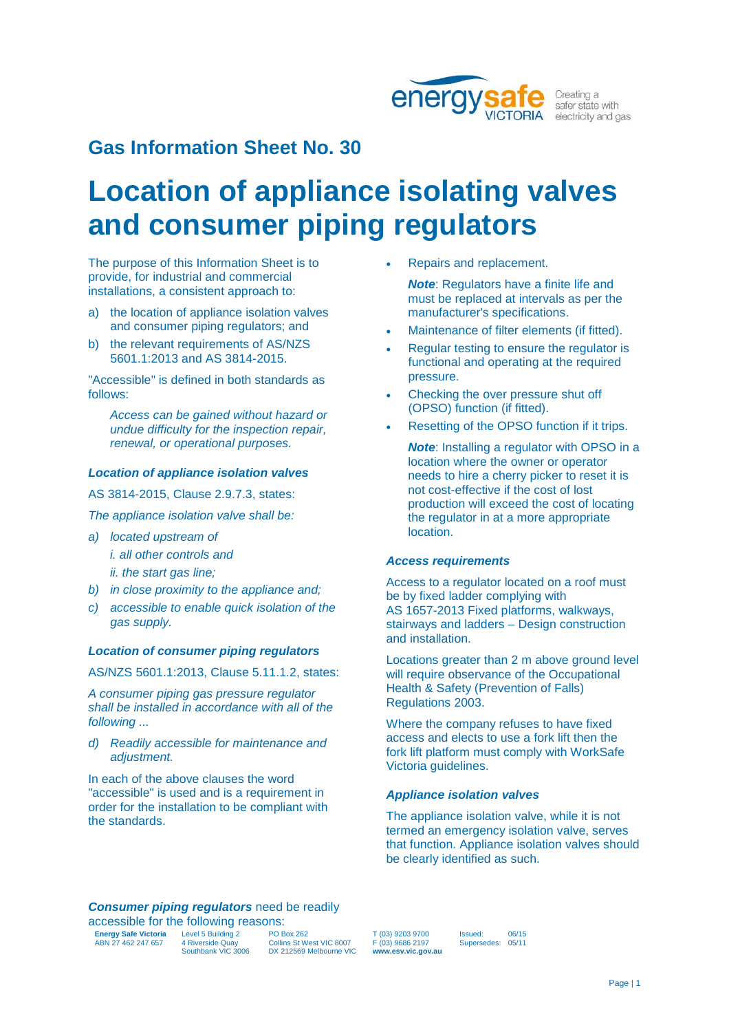

Creating a safer state with electricity and gas

# **Gas Information Sheet No. 30**

# **Location of appliance isolating valves and consumer piping regulators**

The purpose of this Information Sheet is to provide, for industrial and commercial installations, a consistent approach to:

- a) the location of appliance isolation valves and consumer piping regulators; and
- b) the relevant requirements of AS/NZS 5601.1:2013 and AS 3814-2015.

"Accessible" is defined in both standards as follows:

*Access can be gained without hazard or undue difficulty for the inspection repair, renewal, or operational purposes.*

# *Location of appliance isolation valves*

AS 3814-2015, Clause 2.9.7.3, states:

*The appliance isolation valve shall be:*

- *a) located upstream of i. all other controls and*
	- *ii. the start gas line;*
- *b) in close proximity to the appliance and;*
- *c) accessible to enable quick isolation of the gas supply.*

## *Location of consumer piping regulators*

AS/NZS 5601.1:2013, Clause 5.11.1.2, states:

*A consumer piping gas pressure regulator shall be installed in accordance with all of the following ...*

*d) Readily accessible for maintenance and adjustment.*

In each of the above clauses the word "accessible" is used and is a requirement in order for the installation to be compliant with the standards.

• Repairs and replacement.

*Note*: Regulators have a finite life and must be replaced at intervals as per the manufacturer's specifications.

- Maintenance of filter elements (if fitted).
- Regular testing to ensure the regulator is functional and operating at the required pressure.
- Checking the over pressure shut off (OPSO) function (if fitted).
- Resetting of the OPSO function if it trips.
	- *Note*: Installing a regulator with OPSO in a location where the owner or operator needs to hire a cherry picker to reset it is not cost-effective if the cost of lost production will exceed the cost of locating the regulator in at a more appropriate location.

## *Access requirements*

Access to a regulator located on a roof must be by fixed ladder complying with AS 1657-2013 Fixed platforms, walkways, stairways and ladders – Design construction and installation.

Locations greater than 2 m above ground level will require observance of the Occupational Health & Safety (Prevention of Falls) Regulations 2003.

Where the company refuses to have fixed access and elects to use a fork lift then the fork lift platform must comply with WorkSafe Victoria guidelines.

### *Appliance isolation valves*

The appliance isolation valve, while it is not termed an emergency isolation valve, serves that function. Appliance isolation valves should be clearly identified as such.

#### *Consumer piping regulators* need be readily accessible for the following reasons:

| accessible for the following reasons. |                    |                          |
|---------------------------------------|--------------------|--------------------------|
| <b>Energy Safe Victoria</b>           | Level 5 Building 2 | <b>PO Box 262</b>        |
| ABN 27 462 247 657                    | 4 Riverside Quay   | Collins St West VIC 8007 |
|                                       | Southbank VIC 3006 | DX 212569 Melbourne VIC  |

T (03) 9203 9700 F (03) 9686 2197 **www.esv.vic.gov.au** Issued: 06/15 Supersedes: 05/11